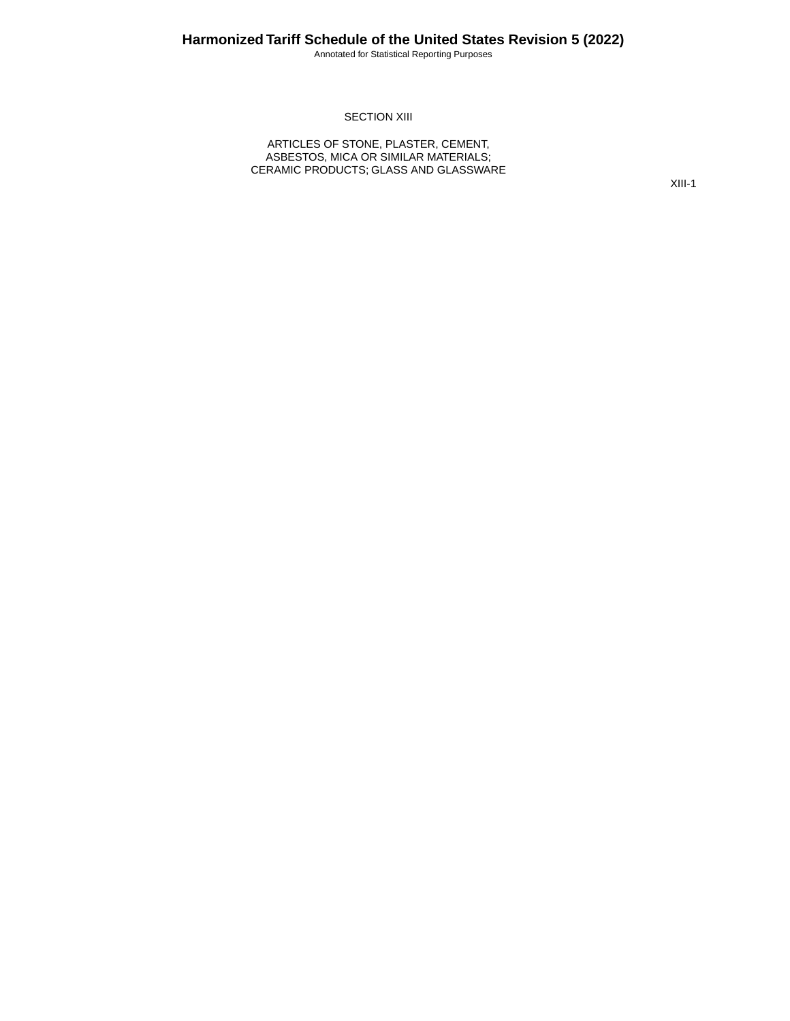Annotated for Statistical Reporting Purposes

#### **SECTION XIII**

ARTICLES OF STONE, PLASTER, CEMENT, ASBESTOS, MICA OR SIMILAR MATERIALS; CERAMIC PRODUCTS; GLASS AND GLASSWARE

XIII-1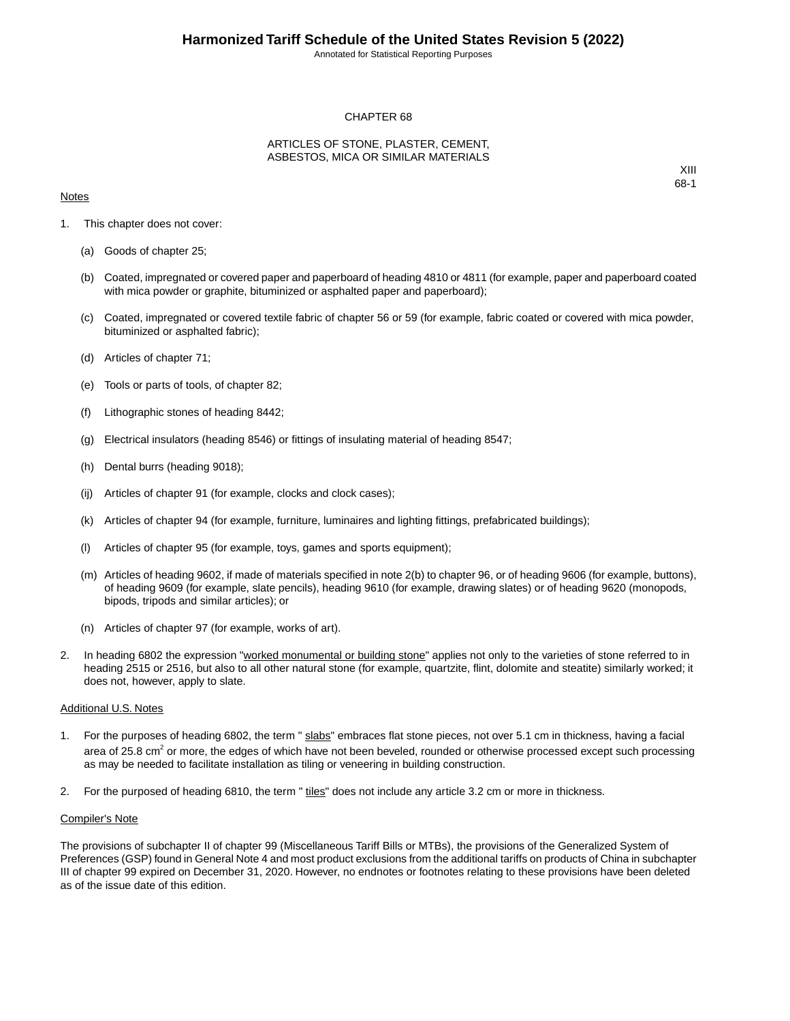Annotated for Statistical Reporting Purposes

#### CHAPTER 68

#### ARTICLES OF STONE, PLASTER, CEMENT, ASBESTOS, MICA OR SIMILAR MATERIALS

#### **Notes**

XIII 68-1

- 1. This chapter does not cover:
	- (a) Goods of chapter 25;
	- (b) Coated, impregnated or covered paper and paperboard of heading 4810 or 4811 (for example, paper and paperboard coated with mica powder or graphite, bituminized or asphalted paper and paperboard);
	- (c) Coated, impregnated or covered textile fabric of chapter 56 or 59 (for example, fabric coated or covered with mica powder, bituminized or asphalted fabric);
	- (d) Articles of chapter 71;
	- (e) Tools or parts of tools, of chapter 82;
	- (f) Lithographic stones of heading 8442;
	- (g) Electrical insulators (heading 8546) or fittings of insulating material of heading 8547;
	- (h) Dental burrs (heading 9018);
	- (ij) Articles of chapter 91 (for example, clocks and clock cases);
	- (k) Articles of chapter 94 (for example, furniture, luminaires and lighting fittings, prefabricated buildings);
	- (l) Articles of chapter 95 (for example, toys, games and sports equipment);
	- (m) Articles of heading 9602, if made of materials specified in note 2(b) to chapter 96, or of heading 9606 (for example, buttons), of heading 9609 (for example, slate pencils), heading 9610 (for example, drawing slates) or of heading 9620 (monopods, bipods, tripods and similar articles); or
	- (n) Articles of chapter 97 (for example, works of art).
- 2. In heading 6802 the expression "worked monumental or building stone" applies not only to the varieties of stone referred to in heading 2515 or 2516, but also to all other natural stone (for example, quartzite, flint, dolomite and steatite) similarly worked; it does not, however, apply to slate.

#### Additional U.S. Notes

- 1. For the purposes of heading 6802, the term " slabs" embraces flat stone pieces, not over 5.1 cm in thickness, having a facial area of 25.8 cm<sup>2</sup> or more, the edges of which have not been beveled, rounded or otherwise processed except such processing as may be needed to facilitate installation as tiling or veneering in building construction.
- 2. For the purposed of heading 6810, the term " tiles" does not include any article 3.2 cm or more in thickness.

#### Compiler's Note

The provisions of subchapter II of chapter 99 (Miscellaneous Tariff Bills or MTBs), the provisions of the Generalized System of Preferences (GSP) found in General Note 4 and most product exclusions from the additional tariffs on products of China in subchapter III of chapter 99 expired on December 31, 2020. However, no endnotes or footnotes relating to these provisions have been deleted as of the issue date of this edition.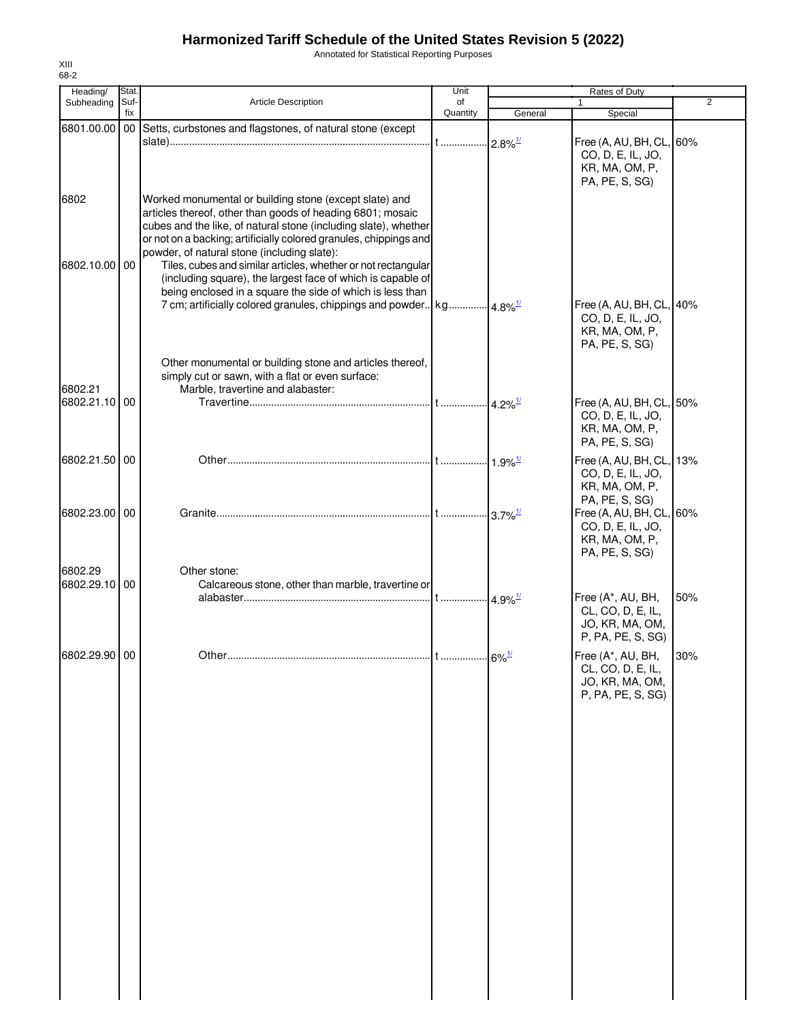Annotated for Statistical Reporting Purposes

| Heading/      | Stat.  |                                                                                    | Unit     |                        | Rates of Duty            |                |
|---------------|--------|------------------------------------------------------------------------------------|----------|------------------------|--------------------------|----------------|
| Subheading    | Suf-   | <b>Article Description</b>                                                         | of       |                        |                          | $\overline{2}$ |
|               | fix    |                                                                                    | Quantity | General                | Special                  |                |
| 6801.00.00    | $00\,$ | Setts, curbstones and flagstones, of natural stone (except                         |          |                        |                          |                |
|               |        |                                                                                    |          | $-2.8\%$ <sup>1/</sup> | Free (A, AU, BH, CL, 60% |                |
|               |        |                                                                                    |          |                        | CO, D, E, IL, JO,        |                |
|               |        |                                                                                    |          |                        | KR, MA, OM, P,           |                |
|               |        |                                                                                    |          |                        | PA, PE, S, SG)           |                |
|               |        |                                                                                    |          |                        |                          |                |
| 6802          |        | Worked monumental or building stone (except slate) and                             |          |                        |                          |                |
|               |        | articles thereof, other than goods of heading 6801; mosaic                         |          |                        |                          |                |
|               |        | cubes and the like, of natural stone (including slate), whether                    |          |                        |                          |                |
|               |        | or not on a backing; artificially colored granules, chippings and                  |          |                        |                          |                |
|               |        | powder, of natural stone (including slate):                                        |          |                        |                          |                |
| 6802.10.00 00 |        | Tiles, cubes and similar articles, whether or not rectangular                      |          |                        |                          |                |
|               |        | (including square), the largest face of which is capable of                        |          |                        |                          |                |
|               |        | being enclosed in a square the side of which is less than                          |          |                        |                          |                |
|               |        | 7 cm; artificially colored granules, chippings and powder   kg  4.8% <sup>1/</sup> |          |                        | Free (A, AU, BH, CL, 40% |                |
|               |        |                                                                                    |          |                        | CO, D, E, IL, JO,        |                |
|               |        |                                                                                    |          |                        | KR, MA, OM, P,           |                |
|               |        |                                                                                    |          |                        | PA, PE, S, SG)           |                |
|               |        |                                                                                    |          |                        |                          |                |
|               |        | Other monumental or building stone and articles thereof,                           |          |                        |                          |                |
|               |        | simply cut or sawn, with a flat or even surface:                                   |          |                        |                          |                |
| 6802.21       |        | Marble, travertine and alabaster:                                                  |          |                        |                          |                |
| 6802.21.10 00 |        |                                                                                    |          | $4.2\%$ <sup>1/</sup>  | Free (A, AU, BH, CL, 50% |                |
|               |        |                                                                                    |          |                        | CO, D, E, IL, JO,        |                |
|               |        |                                                                                    |          |                        | KR, MA, OM, P,           |                |
|               |        |                                                                                    |          |                        | PA, PE, S, SG)           |                |
|               |        |                                                                                    |          |                        |                          |                |
| 6802.21.50    | 00     |                                                                                    |          |                        | Free (A, AU, BH, CL, 13% |                |
|               |        |                                                                                    |          |                        | CO, D, E, IL, JO,        |                |
|               |        |                                                                                    |          |                        | KR, MA, OM, P,           |                |
|               |        |                                                                                    |          |                        | PA, PE, S, SG)           |                |
| 6802.23.00 00 |        |                                                                                    |          | $-3.7\%$ <sup>1/</sup> | Free (A, AU, BH, CL, 60% |                |
|               |        |                                                                                    |          |                        | CO, D, E, IL, JO,        |                |
|               |        |                                                                                    |          |                        | KR, MA, OM, P,           |                |
|               |        |                                                                                    |          |                        | PA, PE, S, SG)           |                |
| 6802.29       |        | Other stone:                                                                       |          |                        |                          |                |
|               |        |                                                                                    |          |                        |                          |                |
| 6802.29.10 00 |        | Calcareous stone, other than marble, travertine or                                 |          |                        |                          |                |
|               |        |                                                                                    |          |                        | Free (A*, AU, BH,        | 50%            |
|               |        |                                                                                    |          |                        | CL, CO, D, E, IL,        |                |
|               |        |                                                                                    |          |                        | JO, KR, MA, OM,          |                |
|               |        |                                                                                    |          |                        | P, PA, PE, S, SG)        |                |
| 6802.29.90 00 |        |                                                                                    |          | $.6\%$ <sup>1/</sup>   | Free (A*, AU, BH,        | 30%            |
|               |        |                                                                                    |          |                        | CL, CO, D, E, IL,        |                |
|               |        |                                                                                    |          |                        | JO, KR, MA, OM,          |                |
|               |        |                                                                                    |          |                        | P, PA, PE, S, SG)        |                |
|               |        |                                                                                    |          |                        |                          |                |
|               |        |                                                                                    |          |                        |                          |                |
|               |        |                                                                                    |          |                        |                          |                |
|               |        |                                                                                    |          |                        |                          |                |
|               |        |                                                                                    |          |                        |                          |                |
|               |        |                                                                                    |          |                        |                          |                |
|               |        |                                                                                    |          |                        |                          |                |
|               |        |                                                                                    |          |                        |                          |                |
|               |        |                                                                                    |          |                        |                          |                |
|               |        |                                                                                    |          |                        |                          |                |
|               |        |                                                                                    |          |                        |                          |                |
|               |        |                                                                                    |          |                        |                          |                |
|               |        |                                                                                    |          |                        |                          |                |
|               |        |                                                                                    |          |                        |                          |                |
|               |        |                                                                                    |          |                        |                          |                |
|               |        |                                                                                    |          |                        |                          |                |
|               |        |                                                                                    |          |                        |                          |                |
|               |        |                                                                                    |          |                        |                          |                |
|               |        |                                                                                    |          |                        |                          |                |
|               |        |                                                                                    |          |                        |                          |                |
|               |        |                                                                                    |          |                        |                          |                |
|               |        |                                                                                    |          |                        |                          |                |
|               |        |                                                                                    |          |                        |                          |                |
|               |        |                                                                                    |          |                        |                          |                |
|               |        |                                                                                    |          |                        |                          |                |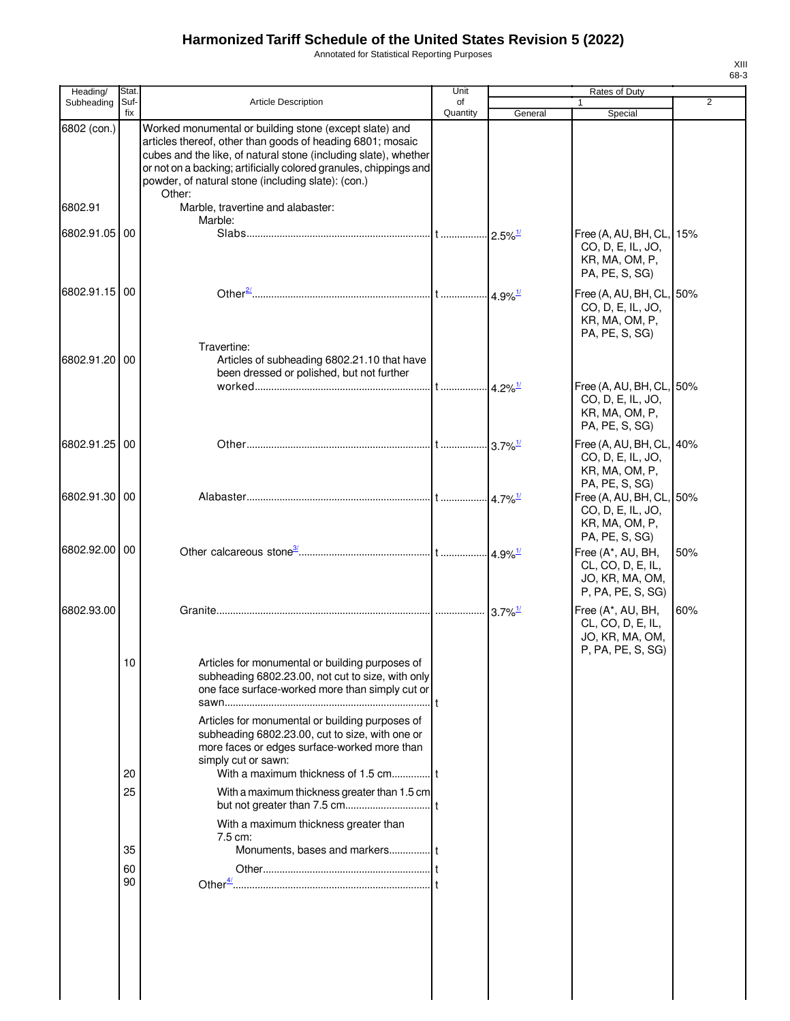Annotated for Statistical Reporting Purposes

|                               |                | XIII<br>68-3 |
|-------------------------------|----------------|--------------|
| of Duty                       |                |              |
|                               | $\overline{2}$ |              |
| $c$ ecial                     |                |              |
|                               |                |              |
| AU, BH, CL, 15%<br>E, IL, JO, |                |              |

| Heading/      | Stat.          |                                                                                                                                                                                                                                                                                                                              | Unit           |                                   | Rates of Duty                                                                                    |                |
|---------------|----------------|------------------------------------------------------------------------------------------------------------------------------------------------------------------------------------------------------------------------------------------------------------------------------------------------------------------------------|----------------|-----------------------------------|--------------------------------------------------------------------------------------------------|----------------|
| Subheading    | Suf-<br>fix    | <b>Article Description</b>                                                                                                                                                                                                                                                                                                   | of<br>Quantity | General                           | 1<br>Special                                                                                     | $\overline{2}$ |
| 6802 (con.)   |                | Worked monumental or building stone (except slate) and<br>articles thereof, other than goods of heading 6801; mosaic<br>cubes and the like, of natural stone (including slate), whether<br>or not on a backing; artificially colored granules, chippings and<br>powder, of natural stone (including slate): (con.)<br>Other: |                |                                   |                                                                                                  |                |
| 6802.91       |                | Marble, travertine and alabaster:<br>Marble:                                                                                                                                                                                                                                                                                 |                |                                   |                                                                                                  |                |
| 6802.91.05 00 |                |                                                                                                                                                                                                                                                                                                                              |                | $-2.5\%$ <sup>1/</sup>            | Free (A, AU, BH, CL,<br>CO, D, E, IL, JO,<br>KR, MA, OM, P,<br>PA, PE, S, SG)                    | 15%            |
| 6802.91.15    | 00             | Travertine:                                                                                                                                                                                                                                                                                                                  |                |                                   | Free (A, AU, BH, CL, 50%<br>CO, D, E, IL, JO,<br>KR, MA, OM, P,<br>PA, PE, S, SG)                |                |
| 6802.91.20    | l 00           | Articles of subheading 6802.21.10 that have<br>been dressed or polished, but not further                                                                                                                                                                                                                                     |                |                                   | Free (A, AU, BH, CL, 50%<br>CO, D, E, IL, JO,<br>KR, MA, OM, P,                                  |                |
| 6802.91.25 00 |                |                                                                                                                                                                                                                                                                                                                              |                |                                   | PA, PE, S, SG)<br>Free (A, AU, BH, CL, 40%<br>CO, D, E, IL, JO,<br>KR, MA, OM, P,                |                |
| 6802.91.30 00 |                |                                                                                                                                                                                                                                                                                                                              |                | $.4.7\%$ <sup>1/</sup>            | PA, PE, S, SG)<br>Free (A, AU, BH, CL,<br>CO, D, E, IL, JO,<br>KR, MA, OM, P,                    | 50%            |
| 6802.92.00    | 00             |                                                                                                                                                                                                                                                                                                                              |                |                                   | PA, PE, S, SG)<br>Free (A*, AU, BH,<br>CL, CO, D, E, IL,<br>JO, KR, MA, OM,<br>P, PA, PE, S, SG) | 50%            |
| 6802.93.00    |                |                                                                                                                                                                                                                                                                                                                              |                | $\cdot \cdot 3.7\%$ <sup>1/</sup> | Free (A*, AU, BH,<br>CL, CO, D, E, IL,<br>JO, KR, MA, OM,                                        | 60%            |
|               | 10             | Articles for monumental or building purposes of<br>subheading 6802.23.00, not cut to size, with only<br>one face surface-worked more than simply cut or<br>Articles for monumental or building purposes of<br>subheading 6802.23.00, cut to size, with one or                                                                |                |                                   | P, PA, PE, S, SG)                                                                                |                |
|               | 20             | more faces or edges surface-worked more than<br>simply cut or sawn:<br>With a maximum thickness of 1.5 cm t                                                                                                                                                                                                                  |                |                                   |                                                                                                  |                |
|               | 25             | With a maximum thickness greater than 1.5 cm                                                                                                                                                                                                                                                                                 |                |                                   |                                                                                                  |                |
|               | 35<br>60<br>90 | With a maximum thickness greater than<br>7.5 cm:<br>Monuments, bases and markers t                                                                                                                                                                                                                                           |                |                                   |                                                                                                  |                |
|               |                |                                                                                                                                                                                                                                                                                                                              |                |                                   |                                                                                                  |                |

 $\overline{\phantom{a}}$ 

 $\overline{\phantom{a}}$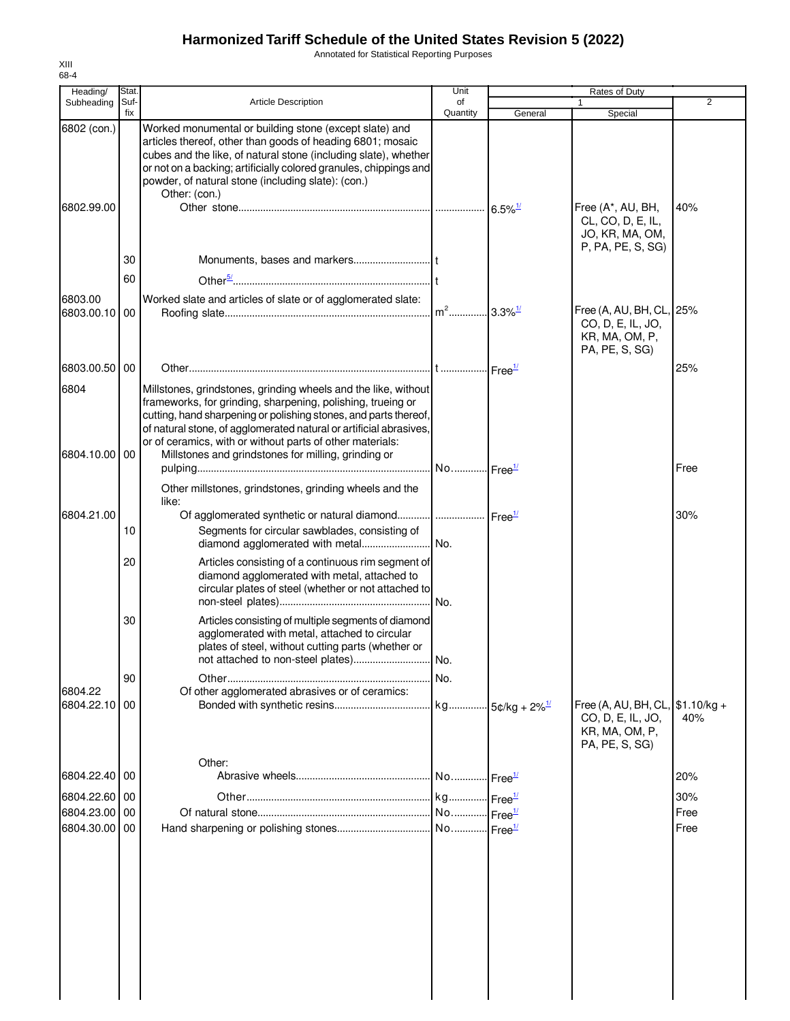Annotated for Statistical Reporting Purposes

| Heading/                    | Stat.       |                                                                                                                                                                                                                                                                                                                                      | Unit           |                       | Rates of Duty                                                                             |             |
|-----------------------------|-------------|--------------------------------------------------------------------------------------------------------------------------------------------------------------------------------------------------------------------------------------------------------------------------------------------------------------------------------------|----------------|-----------------------|-------------------------------------------------------------------------------------------|-------------|
| Subheading                  | Suf-<br>fix | <b>Article Description</b>                                                                                                                                                                                                                                                                                                           | of<br>Quantity | General               | Special                                                                                   | 2           |
| 6802 (con.)                 |             | Worked monumental or building stone (except slate) and<br>articles thereof, other than goods of heading 6801; mosaic<br>cubes and the like, of natural stone (including slate), whether<br>or not on a backing; artificially colored granules, chippings and<br>powder, of natural stone (including slate): (con.)<br>Other: (con.)  |                |                       |                                                                                           |             |
| 6802.99.00                  |             |                                                                                                                                                                                                                                                                                                                                      |                | $6.5\%$ <sup>1/</sup> | Free (A*, AU, BH,<br>CL, CO, D, E, IL,<br>JO, KR, MA, OM,<br>P, PA, PE, S, SG)            | 40%         |
|                             | 30          |                                                                                                                                                                                                                                                                                                                                      |                |                       |                                                                                           |             |
|                             | 60          |                                                                                                                                                                                                                                                                                                                                      |                |                       |                                                                                           |             |
| 6803.00<br>6803.00.10       | 00          | Worked slate and articles of slate or of agglomerated slate:                                                                                                                                                                                                                                                                         |                | $.33\%$ <sup>1/</sup> | Free (A, AU, BH, CL, 25%<br>CO, D, E, IL, JO,<br>KR, MA, OM, P,<br>PA, PE, S, SG)         |             |
| 6803.00.50                  | 00          |                                                                                                                                                                                                                                                                                                                                      |                |                       |                                                                                           | 25%         |
| 6804                        |             | Millstones, grindstones, grinding wheels and the like, without<br>frameworks, for grinding, sharpening, polishing, trueing or<br>cutting, hand sharpening or polishing stones, and parts thereof,<br>of natural stone, of agglomerated natural or artificial abrasives,<br>or of ceramics, with or without parts of other materials: |                |                       |                                                                                           |             |
| 6804.10.00                  | 00          | Millstones and grindstones for milling, grinding or                                                                                                                                                                                                                                                                                  |                |                       |                                                                                           |             |
|                             |             | Other millstones, grindstones, grinding wheels and the<br>like:                                                                                                                                                                                                                                                                      |                |                       |                                                                                           | Free        |
| 6804.21.00                  |             | Of agglomerated synthetic or natural diamond   Free <sup>1/</sup>                                                                                                                                                                                                                                                                    |                |                       |                                                                                           | 30%         |
|                             | 10          | Segments for circular sawblades, consisting of<br>diamond agglomerated with metal No.                                                                                                                                                                                                                                                |                |                       |                                                                                           |             |
|                             | 20          | Articles consisting of a continuous rim segment of<br>diamond agglomerated with metal, attached to<br>circular plates of steel (whether or not attached to                                                                                                                                                                           | No.            |                       |                                                                                           |             |
|                             | 30          | Articles consisting of multiple segments of diamond<br>agglomerated with metal, attached to circular<br>plates of steel, without cutting parts (whether or                                                                                                                                                                           |                |                       |                                                                                           |             |
|                             | 90          |                                                                                                                                                                                                                                                                                                                                      | No.            |                       |                                                                                           |             |
| 6804.22                     |             | Of other agglomerated abrasives or of ceramics:                                                                                                                                                                                                                                                                                      |                |                       |                                                                                           |             |
| 6804.22.10                  | 00          |                                                                                                                                                                                                                                                                                                                                      |                |                       | Free (A, AU, BH, CL, \$1.10/kg +<br>CO, D, E, IL, JO,<br>KR, MA, OM, P,<br>PA, PE, S, SG) | 40%         |
|                             |             | Other:                                                                                                                                                                                                                                                                                                                               |                |                       |                                                                                           |             |
| 6804.22.40 00               |             |                                                                                                                                                                                                                                                                                                                                      |                |                       |                                                                                           | 20%         |
| 6804.22.60 00<br>6804.23.00 | 00          |                                                                                                                                                                                                                                                                                                                                      |                |                       |                                                                                           | 30%<br>Free |
| 6804.30.00 00               |             |                                                                                                                                                                                                                                                                                                                                      |                |                       |                                                                                           | Free        |
|                             |             |                                                                                                                                                                                                                                                                                                                                      |                |                       |                                                                                           |             |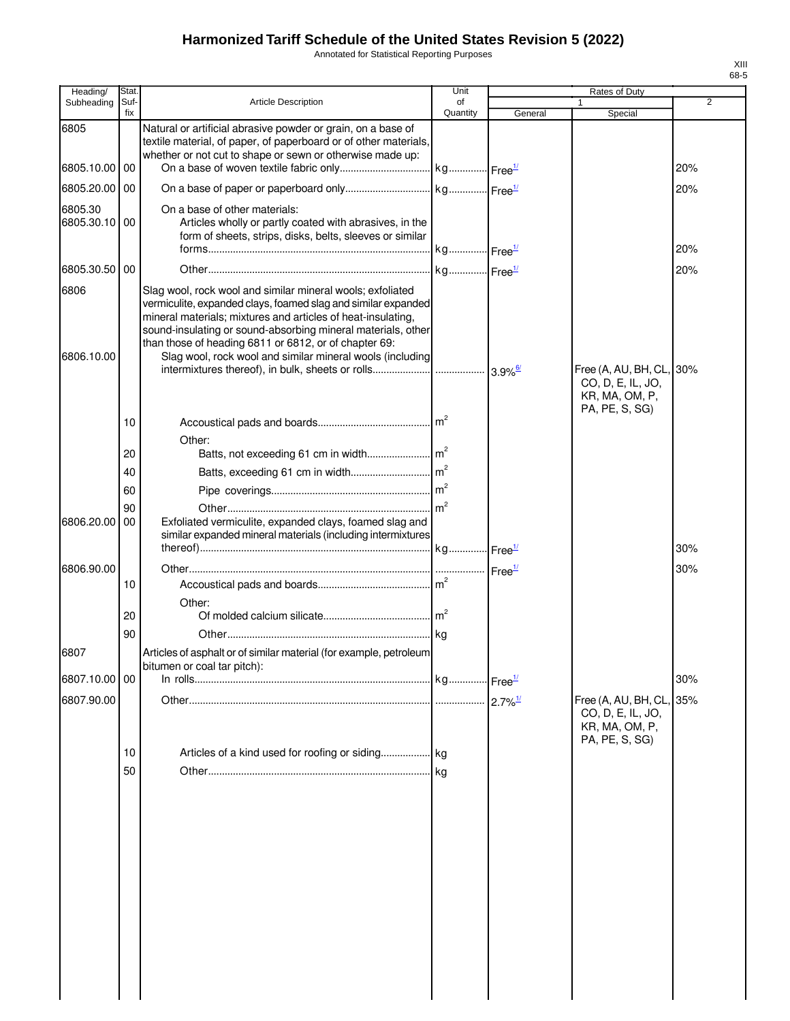Annotated for Statistical Reporting Purposes

| Heading/              | Stat.       |                                                                                                                                                                                                                                                                                                                                                                                   | Unit                  |                       | Rates of Duty                                                                     |                |
|-----------------------|-------------|-----------------------------------------------------------------------------------------------------------------------------------------------------------------------------------------------------------------------------------------------------------------------------------------------------------------------------------------------------------------------------------|-----------------------|-----------------------|-----------------------------------------------------------------------------------|----------------|
| Subheading            | Suf-<br>fix | <b>Article Description</b>                                                                                                                                                                                                                                                                                                                                                        | of<br>Quantity        |                       |                                                                                   | $\overline{2}$ |
| 6805                  |             | Natural or artificial abrasive powder or grain, on a base of<br>textile material, of paper, of paperboard or of other materials,<br>whether or not cut to shape or sewn or otherwise made up:                                                                                                                                                                                     |                       | General               | Special                                                                           |                |
| 6805.10.00 00         |             |                                                                                                                                                                                                                                                                                                                                                                                   |                       |                       |                                                                                   | 20%            |
| 6805.20.00            | 00          |                                                                                                                                                                                                                                                                                                                                                                                   |                       |                       |                                                                                   | 20%            |
| 6805.30<br>6805.30.10 | 00          | On a base of other materials:<br>Articles wholly or partly coated with abrasives, in the<br>form of sheets, strips, disks, belts, sleeves or similar                                                                                                                                                                                                                              | kg Free <sup>1/</sup> |                       |                                                                                   | 20%            |
| 6805.30.50            | 00          |                                                                                                                                                                                                                                                                                                                                                                                   |                       |                       |                                                                                   | 20%            |
| 6806<br>6806.10.00    |             | Slag wool, rock wool and similar mineral wools; exfoliated<br>vermiculite, expanded clays, foamed slag and similar expanded<br>mineral materials; mixtures and articles of heat-insulating,<br>sound-insulating or sound-absorbing mineral materials, other<br>than those of heading 6811 or 6812, or of chapter 69:<br>Slag wool, rock wool and similar mineral wools (including |                       | $3.9\%$ <sup>6/</sup> | Free (A, AU, BH, CL, 30%                                                          |                |
|                       |             |                                                                                                                                                                                                                                                                                                                                                                                   |                       |                       | CO, D, E, IL, JO,<br>KR, MA, OM, P,                                               |                |
|                       | 10          | Other:                                                                                                                                                                                                                                                                                                                                                                            |                       |                       | PA, PE, S, SG)                                                                    |                |
|                       | 20          |                                                                                                                                                                                                                                                                                                                                                                                   |                       |                       |                                                                                   |                |
|                       | 40          |                                                                                                                                                                                                                                                                                                                                                                                   |                       |                       |                                                                                   |                |
|                       | 60          |                                                                                                                                                                                                                                                                                                                                                                                   |                       |                       |                                                                                   |                |
| 6806.20.00            | 90<br>00    | Exfoliated vermiculite, expanded clays, foamed slag and<br>similar expanded mineral materials (including intermixtures                                                                                                                                                                                                                                                            |                       |                       |                                                                                   |                |
|                       |             |                                                                                                                                                                                                                                                                                                                                                                                   |                       |                       |                                                                                   | 30%            |
| 6806.90.00            |             |                                                                                                                                                                                                                                                                                                                                                                                   |                       | Free <sup>1/</sup>    |                                                                                   | 30%            |
|                       | 10          |                                                                                                                                                                                                                                                                                                                                                                                   |                       |                       |                                                                                   |                |
|                       | 20          | Other:                                                                                                                                                                                                                                                                                                                                                                            |                       |                       |                                                                                   |                |
|                       | 90          |                                                                                                                                                                                                                                                                                                                                                                                   |                       |                       |                                                                                   |                |
| 6807                  |             | Articles of asphalt or of similar material (for example, petroleum<br>bitumen or coal tar pitch):                                                                                                                                                                                                                                                                                 |                       |                       |                                                                                   |                |
| 6807.10.00 00         |             |                                                                                                                                                                                                                                                                                                                                                                                   |                       |                       |                                                                                   | 30%            |
| 6807.90.00            |             |                                                                                                                                                                                                                                                                                                                                                                                   |                       | $2.7\%$ <sup>1/</sup> | Free (A, AU, BH, CL, 35%<br>CO, D, E, IL, JO,<br>KR, MA, OM, P,<br>PA, PE, S, SG) |                |
|                       | 10<br>50    |                                                                                                                                                                                                                                                                                                                                                                                   | . I ka                |                       |                                                                                   |                |
|                       |             |                                                                                                                                                                                                                                                                                                                                                                                   |                       |                       |                                                                                   |                |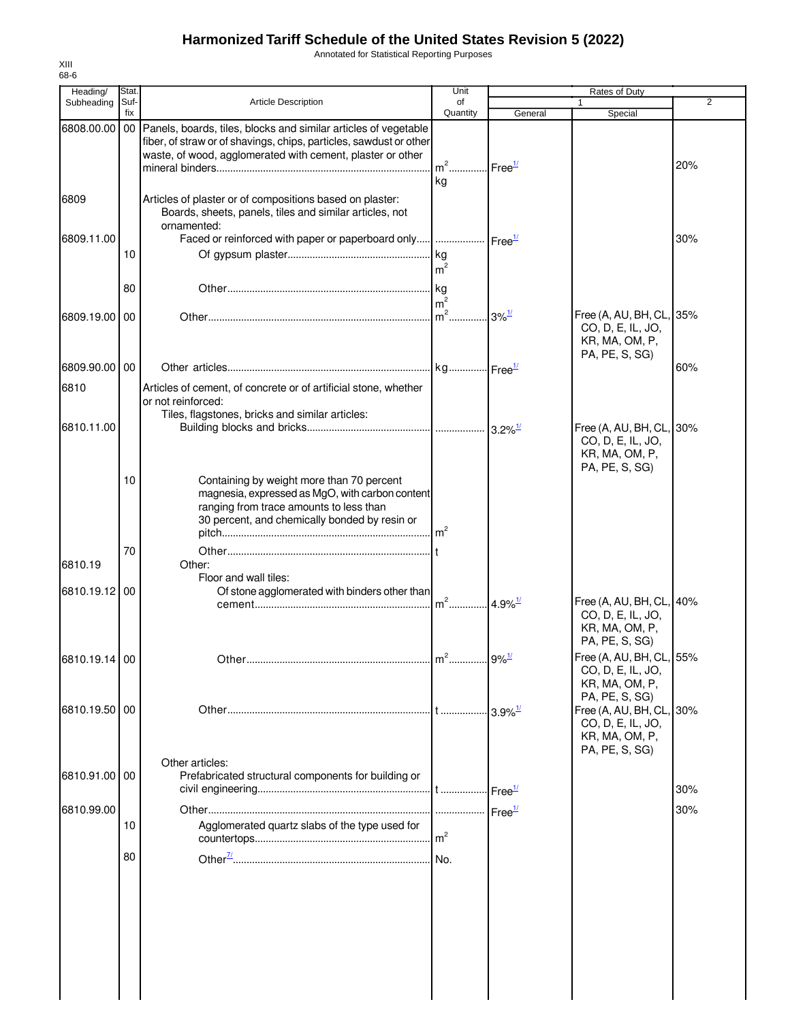Annotated for Statistical Reporting Purposes

| Heading/      | Stat.       |                                                                                                                                                                                                        | Unit              |                       | Rates of Duty                                                                     |     |
|---------------|-------------|--------------------------------------------------------------------------------------------------------------------------------------------------------------------------------------------------------|-------------------|-----------------------|-----------------------------------------------------------------------------------|-----|
| Subheading    | Suf-<br>fix | Article Description                                                                                                                                                                                    | of<br>Quantity    | General               | 1<br>Special                                                                      | 2   |
| 6808.00.00    |             | 00 Panels, boards, tiles, blocks and similar articles of vegetable<br>fiber, of straw or of shavings, chips, particles, sawdust or other<br>waste, of wood, agglomerated with cement, plaster or other | $m2$ .<br>kg      | Free <sup>1/</sup>    |                                                                                   | 20% |
| 6809          |             | Articles of plaster or of compositions based on plaster:<br>Boards, sheets, panels, tiles and similar articles, not<br>ornamented:                                                                     |                   |                       |                                                                                   |     |
| 6809.11.00    | 10          | Faced or reinforced with paper or paperboard only    Free <sup>1/</sup>                                                                                                                                | m <sup>2</sup>    |                       |                                                                                   | 30% |
|               | 80          |                                                                                                                                                                                                        | m <sup>2</sup>    |                       |                                                                                   |     |
| 6809.19.00    | 00          |                                                                                                                                                                                                        | $\mathsf{Im}^2$ . | $3\%$ <sup>1/</sup>   | Free (A, AU, BH, CL, 35%<br>CO, D, E, IL, JO,<br>KR, MA, OM, P,<br>PA, PE, S, SG) |     |
| 6809.90.00    | 00          |                                                                                                                                                                                                        |                   |                       |                                                                                   | 60% |
| 6810          |             | Articles of cement, of concrete or of artificial stone, whether<br>or not reinforced:<br>Tiles, flagstones, bricks and similar articles:                                                               |                   |                       |                                                                                   |     |
| 6810.11.00    |             |                                                                                                                                                                                                        |                   |                       | Free (A, AU, BH, CL, 30%<br>CO, D, E, IL, JO,<br>KR, MA, OM, P,<br>PA, PE, S, SG) |     |
|               | 10          | Containing by weight more than 70 percent<br>magnesia, expressed as MgO, with carbon content<br>ranging from trace amounts to less than<br>30 percent, and chemically bonded by resin or               | m <sup>2</sup>    |                       |                                                                                   |     |
| 6810.19       | 70          | Other:<br>Floor and wall tiles:                                                                                                                                                                        |                   |                       |                                                                                   |     |
| 6810.19.12    | 00          | Of stone agglomerated with binders other than                                                                                                                                                          | $m^2$             | $4.9\%$ <sup>1/</sup> | Free (A, AU, BH, CL, 40%<br>CO, D, E, IL, JO,<br>KR, MA, OM, P,<br>PA, PE, S, SG) |     |
| 6810.19.14 00 |             | [                                                                                                                                                                                                      | $n^2$             | $9%$ <sup>1/</sup>    | Free (A, AU, BH, CL, 55%<br>CO, D, E, IL, JO,<br>KR, MA, OM, P,<br>PA, PE, S, SG) |     |
| 6810.19.50 00 |             |                                                                                                                                                                                                        |                   | $3.9\%$ <sup>1/</sup> | Free (A, AU, BH, CL, 30%<br>CO, D, E, IL, JO,<br>KR, MA, OM, P,                   |     |
| 6810.91.00 00 |             | Other articles:<br>Prefabricated structural components for building or                                                                                                                                 |                   |                       | PA, PE, S, SG)                                                                    | 30% |
| 6810.99.00    |             |                                                                                                                                                                                                        | .                 | Free <sup>1/</sup>    |                                                                                   | 30% |
|               | 10          | Agglomerated quartz slabs of the type used for                                                                                                                                                         | m <sup>2</sup>    |                       |                                                                                   |     |
|               | 80          |                                                                                                                                                                                                        |                   |                       |                                                                                   |     |
|               |             |                                                                                                                                                                                                        |                   |                       |                                                                                   |     |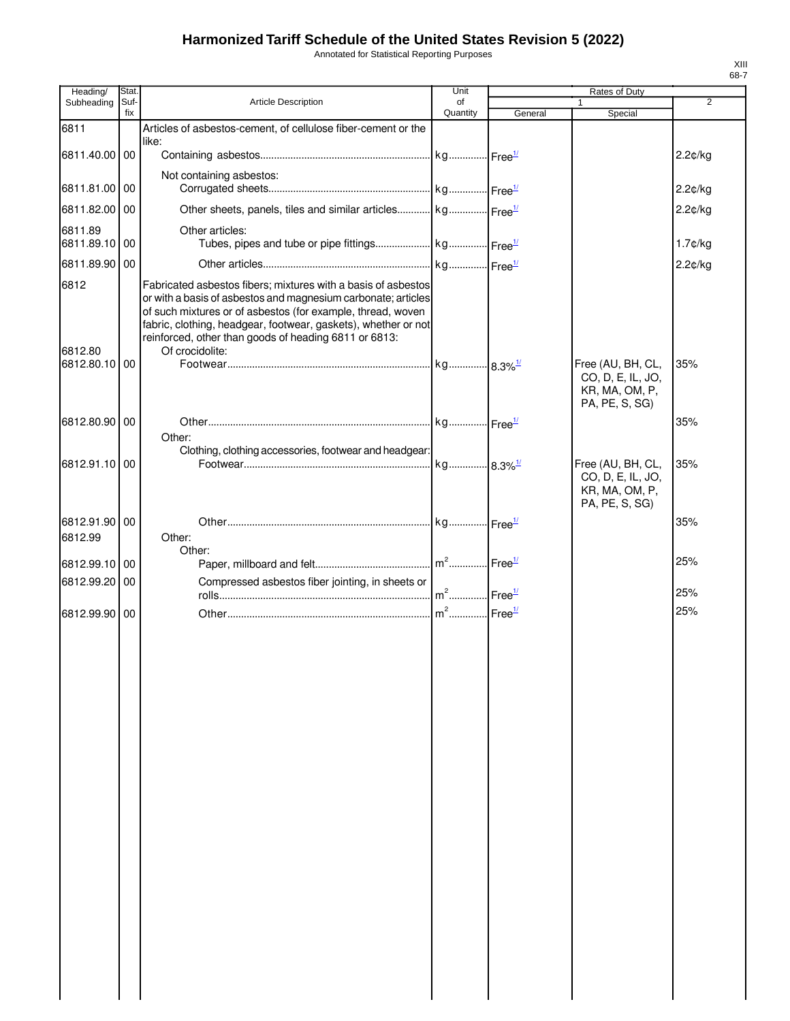Annotated for Statistical Reporting Purposes

| Heading/              | Stat.       |                                                                                                                                                                                                                                                                                                                                             | Unit           |         | Rates of Duty                                                              |            |
|-----------------------|-------------|---------------------------------------------------------------------------------------------------------------------------------------------------------------------------------------------------------------------------------------------------------------------------------------------------------------------------------------------|----------------|---------|----------------------------------------------------------------------------|------------|
| Subheading            | Suf-<br>fix | Article Description                                                                                                                                                                                                                                                                                                                         | of<br>Quantity | General | Special                                                                    | 2          |
| 6811                  |             | Articles of asbestos-cement, of cellulose fiber-cement or the                                                                                                                                                                                                                                                                               |                |         |                                                                            |            |
|                       |             | like:                                                                                                                                                                                                                                                                                                                                       |                |         |                                                                            |            |
| 6811.40.00            | 00          |                                                                                                                                                                                                                                                                                                                                             |                |         |                                                                            | 2.2¢/kg    |
| 6811.81.00            | 00          | Not containing asbestos:                                                                                                                                                                                                                                                                                                                    |                |         |                                                                            | 2.2¢/kg    |
| 6811.82.00            | 00          | Other sheets, panels, tiles and similar articles kg Free <sup>1/</sup>                                                                                                                                                                                                                                                                      |                |         |                                                                            | 2.2¢/kg    |
| 6811.89               |             | Other articles:                                                                                                                                                                                                                                                                                                                             |                |         |                                                                            |            |
| 6811.89.10 00         |             |                                                                                                                                                                                                                                                                                                                                             |                |         |                                                                            | $1.7$ ¢/kg |
| 6811.89.90 00         |             |                                                                                                                                                                                                                                                                                                                                             |                |         |                                                                            | 2.2¢/kg    |
| 6812<br>6812.80       |             | Fabricated asbestos fibers; mixtures with a basis of asbestos<br>or with a basis of asbestos and magnesium carbonate; articles<br>of such mixtures or of asbestos (for example, thread, woven<br>fabric, clothing, headgear, footwear, gaskets), whether or not<br>reinforced, other than goods of heading 6811 or 6813:<br>Of crocidolite: |                |         |                                                                            |            |
| 6812.80.10            | 00          |                                                                                                                                                                                                                                                                                                                                             |                |         | Free (AU, BH, CL,<br>CO, D, E, IL, JO,<br>KR, MA, OM, P,                   | 35%        |
|                       |             |                                                                                                                                                                                                                                                                                                                                             |                |         | PA, PE, S, SG)                                                             |            |
| 6812.80.90            | l 00        | Other:                                                                                                                                                                                                                                                                                                                                      |                |         |                                                                            | 35%        |
|                       |             | Clothing, clothing accessories, footwear and headgear:                                                                                                                                                                                                                                                                                      |                |         |                                                                            |            |
| 6812.91.10            | 00          |                                                                                                                                                                                                                                                                                                                                             |                |         | Free (AU, BH, CL,<br>CO, D, E, IL, JO,<br>KR, MA, OM, P,<br>PA, PE, S, SG) | 35%        |
| 6812.91.90<br>6812.99 | 00          | Other:                                                                                                                                                                                                                                                                                                                                      |                |         |                                                                            | 35%        |
|                       |             | Other:                                                                                                                                                                                                                                                                                                                                      |                |         |                                                                            |            |
| 6812.99.10 00         |             |                                                                                                                                                                                                                                                                                                                                             |                |         |                                                                            | 25%        |
| 6812.99.20 00         |             | Compressed asbestos fiber jointing, in sheets or                                                                                                                                                                                                                                                                                            |                |         |                                                                            | 25%        |
|                       |             |                                                                                                                                                                                                                                                                                                                                             |                |         |                                                                            |            |
| 6812.99.90 00         |             |                                                                                                                                                                                                                                                                                                                                             |                |         |                                                                            | 25%        |
|                       |             |                                                                                                                                                                                                                                                                                                                                             |                |         |                                                                            |            |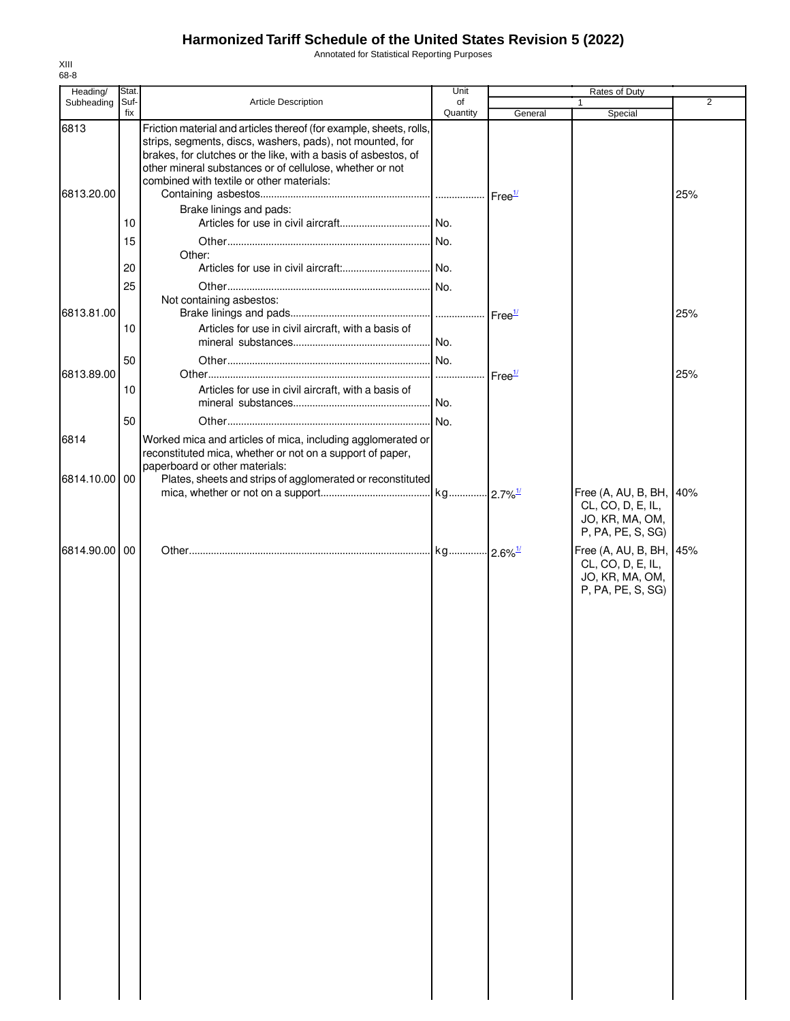Annotated for Statistical Reporting Purposes

| Heading/           | Stat.       |                                                                                                                                                                                                                                                                                                                                        | Unit           |         | Rates of Duty                                                                        |     |
|--------------------|-------------|----------------------------------------------------------------------------------------------------------------------------------------------------------------------------------------------------------------------------------------------------------------------------------------------------------------------------------------|----------------|---------|--------------------------------------------------------------------------------------|-----|
| Subheading         | Suf-<br>fix | <b>Article Description</b>                                                                                                                                                                                                                                                                                                             | of<br>Quantity | General | 1<br>Special                                                                         | 2   |
| 6813<br>6813.20.00 | 10          | Friction material and articles thereof (for example, sheets, rolls,<br>strips, segments, discs, washers, pads), not mounted, for<br>brakes, for clutches or the like, with a basis of asbestos, of<br>other mineral substances or of cellulose, whether or not<br>combined with textile or other materials:<br>Brake linings and pads: |                |         |                                                                                      | 25% |
|                    | 15          |                                                                                                                                                                                                                                                                                                                                        |                |         |                                                                                      |     |
|                    |             | Other:                                                                                                                                                                                                                                                                                                                                 |                |         |                                                                                      |     |
|                    | 20<br>25    |                                                                                                                                                                                                                                                                                                                                        |                |         |                                                                                      |     |
| 6813.81.00         |             | Not containing asbestos:                                                                                                                                                                                                                                                                                                               |                |         |                                                                                      | 25% |
|                    | 10          | Articles for use in civil aircraft, with a basis of                                                                                                                                                                                                                                                                                    |                |         |                                                                                      |     |
| 6813.89.00         | 50          |                                                                                                                                                                                                                                                                                                                                        |                |         |                                                                                      | 25% |
|                    | 10          | Articles for use in civil aircraft, with a basis of                                                                                                                                                                                                                                                                                    |                |         |                                                                                      |     |
|                    | 50          |                                                                                                                                                                                                                                                                                                                                        |                |         |                                                                                      |     |
| 6814               |             | Worked mica and articles of mica, including agglomerated or<br>reconstituted mica, whether or not on a support of paper,<br>paperboard or other materials:                                                                                                                                                                             |                |         |                                                                                      |     |
| 6814.10.00 00      |             | Plates, sheets and strips of agglomerated or reconstituted                                                                                                                                                                                                                                                                             |                |         | Free (A, AU, B, BH, 40%                                                              |     |
|                    |             |                                                                                                                                                                                                                                                                                                                                        |                |         | CL, CO, D, E, IL,<br>JO, KR, MA, OM,<br>P, PA, PE, S, SG)                            |     |
| 6814.90.00 00      |             |                                                                                                                                                                                                                                                                                                                                        |                |         | Free (A, AU, B, BH, 45%<br>CL, CO, D, E, IL,<br>JO, KR, MA, OM,<br>P, PA, PE, S, SG) |     |
|                    |             |                                                                                                                                                                                                                                                                                                                                        |                |         |                                                                                      |     |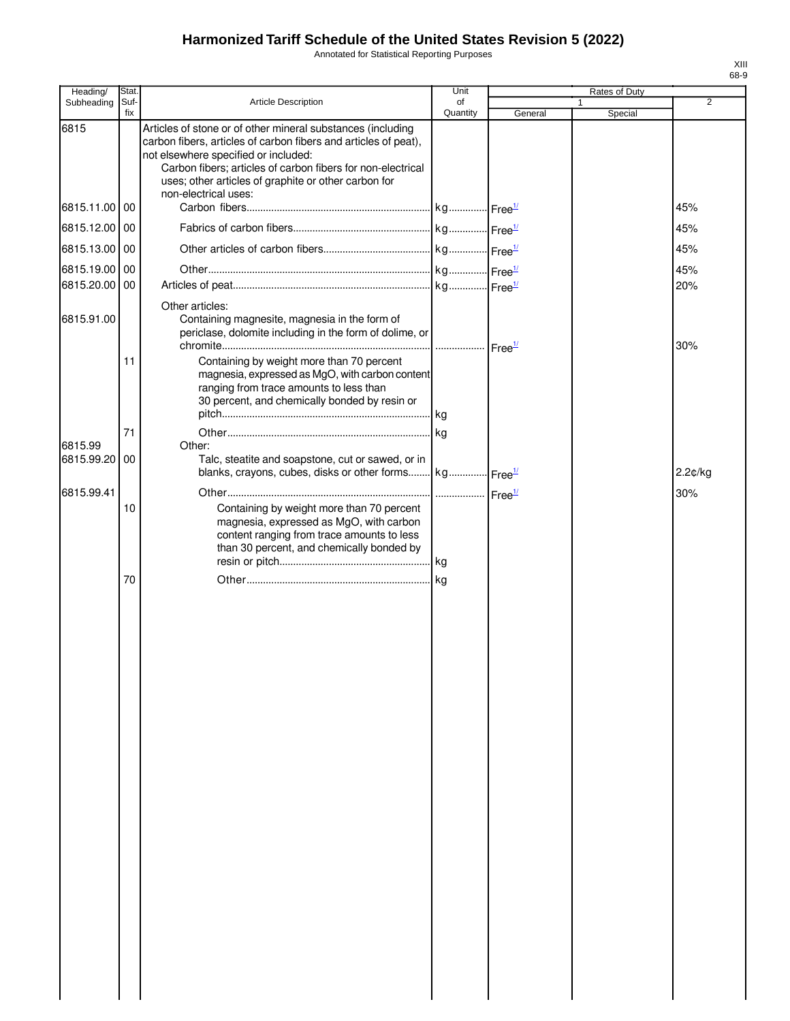Annotated for Statistical Reporting Purposes

| Heading/      | Stat.       |                                                                                                                                                                                                                                                                                                                       | Unit           |         | Rates of Duty |                |
|---------------|-------------|-----------------------------------------------------------------------------------------------------------------------------------------------------------------------------------------------------------------------------------------------------------------------------------------------------------------------|----------------|---------|---------------|----------------|
| Subheading    | Suf-<br>fix | Article Description                                                                                                                                                                                                                                                                                                   | of<br>Quantity | General | Special       | $\overline{2}$ |
| 6815          |             | Articles of stone or of other mineral substances (including<br>carbon fibers, articles of carbon fibers and articles of peat),<br>not elsewhere specified or included:<br>Carbon fibers; articles of carbon fibers for non-electrical<br>uses; other articles of graphite or other carbon for<br>non-electrical uses: |                |         |               |                |
| 6815.11.00 00 |             |                                                                                                                                                                                                                                                                                                                       |                |         |               | 45%            |
| 6815.12.00 00 |             |                                                                                                                                                                                                                                                                                                                       |                |         |               | 45%            |
| 6815.13.00 00 |             |                                                                                                                                                                                                                                                                                                                       |                |         |               | 45%            |
| 6815.19.00 00 |             |                                                                                                                                                                                                                                                                                                                       |                |         |               | 45%            |
| 6815.20.00 00 |             |                                                                                                                                                                                                                                                                                                                       |                |         |               | 20%            |
|               |             | Other articles:                                                                                                                                                                                                                                                                                                       |                |         |               |                |
| 6815.91.00    |             | Containing magnesite, magnesia in the form of<br>periclase, dolomite including in the form of dolime, or                                                                                                                                                                                                              |                |         |               | 30%            |
|               | 11          | Containing by weight more than 70 percent<br>magnesia, expressed as MgO, with carbon content<br>ranging from trace amounts to less than<br>30 percent, and chemically bonded by resin or                                                                                                                              |                |         |               |                |
| 6815.99       | 71          | Other:                                                                                                                                                                                                                                                                                                                |                |         |               |                |
| 6815.99.20 00 |             | Talc, steatite and soapstone, cut or sawed, or in<br>blanks, crayons, cubes, disks or other forms kg Free <sup>1/</sup>                                                                                                                                                                                               |                |         |               | 2.2¢/kg        |
|               |             |                                                                                                                                                                                                                                                                                                                       |                |         |               |                |
| 6815.99.41    | 10          | Containing by weight more than 70 percent<br>magnesia, expressed as MgO, with carbon<br>content ranging from trace amounts to less<br>than 30 percent, and chemically bonded by                                                                                                                                       |                |         |               | 30%            |
|               | 70          |                                                                                                                                                                                                                                                                                                                       |                |         |               |                |
|               |             |                                                                                                                                                                                                                                                                                                                       |                |         |               |                |